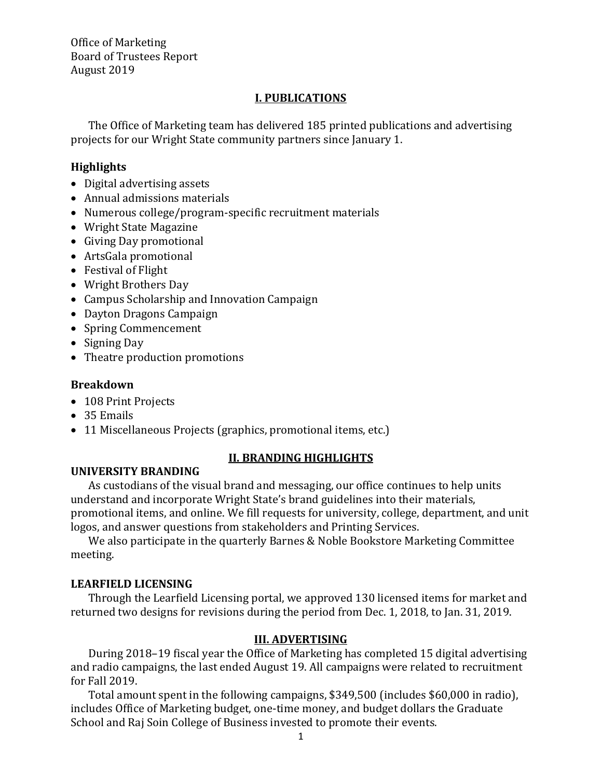Office of Marketing Board of Trustees Report August 2019

#### **I. PUBLICATIONS**

The Office of Marketing team has delivered 185 printed publications and advertising projects for our Wright State community partners since January 1.

#### **Highlights**

- Digital advertising assets
- Annual admissions materials
- Numerous college/program-specific recruitment materials
- Wright State Magazine
- Giving Day promotional
- ArtsGala promotional
- Festival of Flight
- Wright Brothers Day
- Campus Scholarship and Innovation Campaign
- Dayton Dragons Campaign
- Spring Commencement
- Signing Day
- Theatre production promotions

#### **Breakdown**

- 108 Print Projects
- 35 Emails
- 11 Miscellaneous Projects (graphics, promotional items, etc.)

#### **UNIVERSITY BRANDING**

#### **II. BRANDING HIGHLIGHTS**

As custodians of the visual brand and messaging, our office continues to help units understand and incorporate Wright State's brand guidelines into their materials, promotional items, and online. We fill requests for university, college, department, and unit logos, and answer questions from stakeholders and Printing Services.

We also participate in the quarterly Barnes & Noble Bookstore Marketing Committee meeting.

#### **LEARFIELD LICENSING**

Through the Learfield Licensing portal, we approved 130 licensed items for market and returned two designs for revisions during the period from Dec. 1, 2018, to Jan. 31, 2019.

#### **III. ADVERTISING**

During 2018–19 fiscal year the Office of Marketing has completed 15 digital advertising and radio campaigns, the last ended August 19. All campaigns were related to recruitment for Fall 2019.

Total amount spent in the following campaigns, \$349,500 (includes \$60,000 in radio), includes Office of Marketing budget, one-time money, and budget dollars the Graduate School and Raj Soin College of Business invested to promote their events.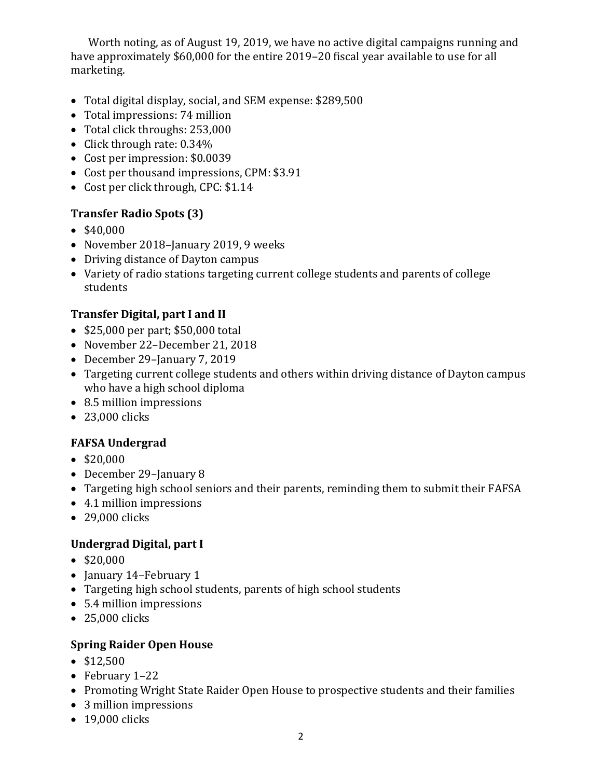Worth noting, as of August 19, 2019, we have no active digital campaigns running and have approximately \$60,000 for the entire 2019–20 fiscal year available to use for all marketing.

- Total digital display, social, and SEM expense: \$289,500
- Total impressions: 74 million
- Total click throughs: 253,000
- Click through rate: 0.34%
- Cost per impression: \$0.0039
- Cost per thousand impressions, CPM: \$3.91
- Cost per click through, CPC: \$1.14

## **Transfer Radio Spots (3)**

- \$40,000
- November 2018-January 2019, 9 weeks
- Driving distance of Dayton campus
- Variety of radio stations targeting current college students and parents of college students

## **Transfer Digital, part I and II**

- \$25,000 per part; \$50,000 total
- November 22–December 21, 2018
- December 29-January 7, 2019
- Targeting current college students and others within driving distance of Dayton campus who have a high school diploma
- 8.5 million impressions
- 23,000 clicks

# **FAFSA Undergrad**

- \$20,000
- December 29-January 8
- Targeting high school seniors and their parents, reminding them to submit their FAFSA
- 4.1 million impressions
- 29,000 clicks

## **Undergrad Digital, part I**

- \$20,000
- January 14–February 1
- Targeting high school students, parents of high school students
- 5.4 million impressions
- 25,000 clicks

## **Spring Raider Open House**

- \$12,500
- February 1–22
- Promoting Wright State Raider Open House to prospective students and their families
- 3 million impressions
- 19,000 clicks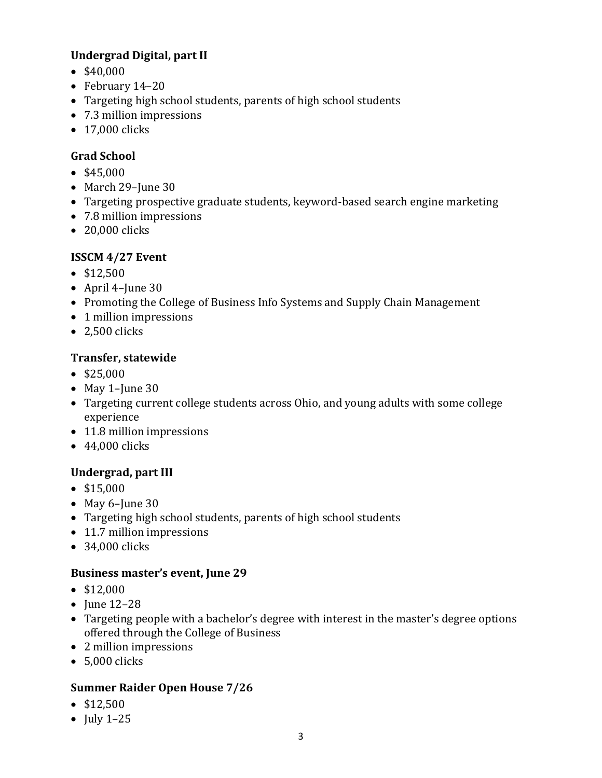## **Undergrad Digital, part II**

- \$40,000
- February 14–20
- Targeting high school students, parents of high school students
- 7.3 million impressions
- 17,000 clicks

## **Grad School**

- \$45,000
- March 29-June 30
- Targeting prospective graduate students, keyword-based search engine marketing
- 7.8 million impressions
- 20,000 clicks

## **ISSCM 4/27 Event**

- \$12,500
- April 4–June 30
- Promoting the College of Business Info Systems and Supply Chain Management
- 1 million impressions
- $\bullet$  2.500 clicks

### **Transfer, statewide**

- \$25,000
- May 1-June 30
- Targeting current college students across Ohio, and young adults with some college experience
- 11.8 million impressions
- 44,000 clicks

## **Undergrad, part III**

- \$15,000
- May 6-June 30
- Targeting high school students, parents of high school students
- 11.7 million impressions
- 34,000 clicks

### **Business master's event, June 29**

- \$12,000
- **June 12-28**
- Targeting people with a bachelor's degree with interest in the master's degree options offered through the College of Business
- 2 million impressions
- 5,000 clicks

### **Summer Raider Open House 7/26**

- \$12,500
- July  $1-25$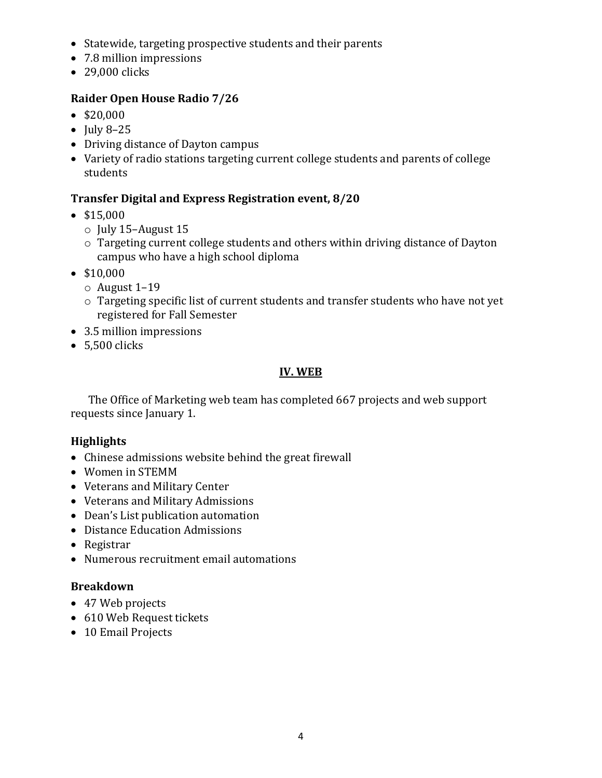- Statewide, targeting prospective students and their parents
- 7.8 million impressions
- 29,000 clicks

### **Raider Open House Radio 7/26**

- \$20,000
- July 8-25
- Driving distance of Dayton campus
- Variety of radio stations targeting current college students and parents of college students

#### **Transfer Digital and Express Registration event, 8/20**

- \$15,000
	- o July 15–August 15
	- o Targeting current college students and others within driving distance of Dayton campus who have a high school diploma
- \$10,000
	- o August 1–19
	- o Targeting specific list of current students and transfer students who have not yet registered for Fall Semester
- 3.5 million impressions
- 5,500 clicks

### **IV. WEB**

The Office of Marketing web team has completed 667 projects and web support requests since January 1.

#### **Highlights**

- Chinese admissions website behind the great firewall
- Women in STEMM
- Veterans and Military Center
- Veterans and Military Admissions
- Dean's List publication automation
- Distance Education Admissions
- Registrar
- Numerous recruitment email automations

#### **Breakdown**

- 47 Web projects
- 610 Web Request tickets
- 10 Email Projects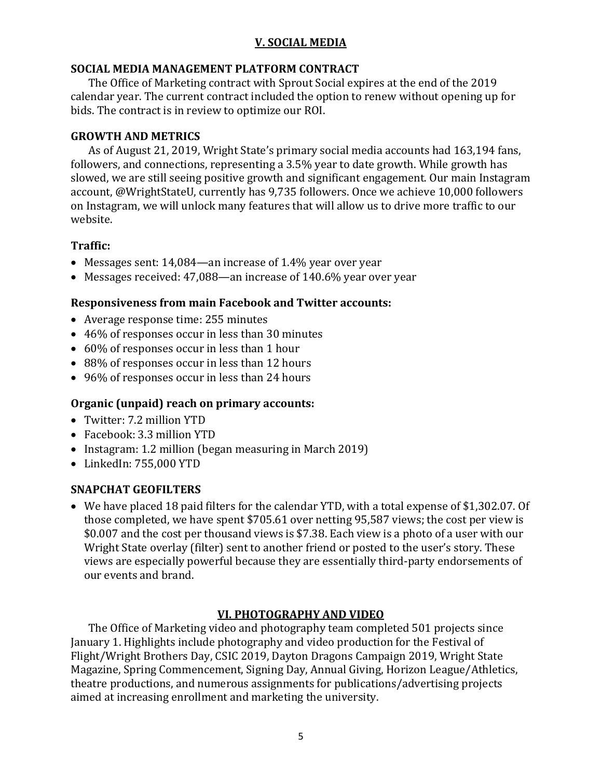### **V. SOCIAL MEDIA**

#### **SOCIAL MEDIA MANAGEMENT PLATFORM CONTRACT**

The Office of Marketing contract with Sprout Social expires at the end of the 2019 calendar year. The current contract included the option to renew without opening up for bids. The contract is in review to optimize our ROI.

#### **GROWTH AND METRICS**

As of August 21, 2019, Wright State's primary social media accounts had 163,194 fans, followers, and connections, representing a 3.5% year to date growth. While growth has slowed, we are still seeing positive growth and significant engagement. Our main Instagram account, @WrightStateU, currently has 9,735 followers. Once we achieve 10,000 followers on Instagram, we will unlock many features that will allow us to drive more traffic to our website.

### **Traffic:**

- Messages sent: 14,084—an increase of 1.4% year over year
- Messages received: 47,088—an increase of 140.6% year over year

### **Responsiveness from main Facebook and Twitter accounts:**

- Average response time: 255 minutes
- 46% of responses occur in less than 30 minutes
- 60% of responses occur in less than 1 hour
- 88% of responses occur in less than 12 hours
- 96% of responses occur in less than 24 hours

### **Organic (unpaid) reach on primary accounts:**

- Twitter: 7.2 million YTD
- Facebook: 3.3 million YTD
- Instagram: 1.2 million (began measuring in March 2019)
- LinkedIn: 755,000 YTD

## **SNAPCHAT GEOFILTERS**

• We have placed 18 paid filters for the calendar YTD, with a total expense of \$1,302.07. Of those completed, we have spent \$705.61 over netting 95,587 views; the cost per view is \$0.007 and the cost per thousand views is \$7.38. Each view is a photo of a user with our Wright State overlay (filter) sent to another friend or posted to the user's story. These views are especially powerful because they are essentially third-party endorsements of our events and brand.

## **VI. PHOTOGRAPHY AND VIDEO**

The Office of Marketing video and photography team completed 501 projects since January 1. Highlights include photography and video production for the Festival of Flight/Wright Brothers Day, CSIC 2019, Dayton Dragons Campaign 2019, Wright State Magazine, Spring Commencement, Signing Day, Annual Giving, Horizon League/Athletics, theatre productions, and numerous assignments for publications/advertising projects aimed at increasing enrollment and marketing the university.